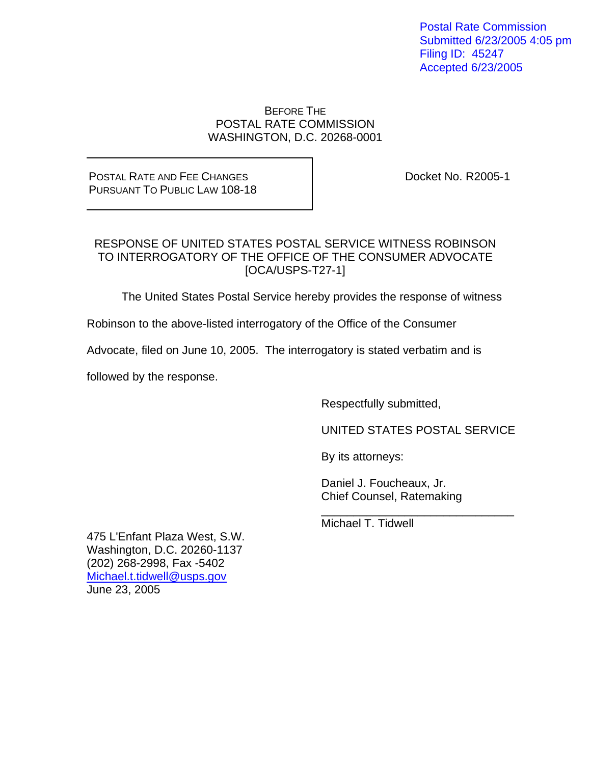Postal Rate Commission Submitted 6/23/2005 4:05 pm Filing ID: 45247 Accepted 6/23/2005

#### BEFORE THE POSTAL RATE COMMISSION WASHINGTON, D.C. 20268-0001

POSTAL RATE AND FEE CHANGES PURSUANT TO PUBLIC LAW 108-18 Docket No. R2005-1

## RESPONSE OF UNITED STATES POSTAL SERVICE WITNESS ROBINSON TO INTERROGATORY OF THE OFFICE OF THE CONSUMER ADVOCATE [OCA/USPS-T27-1]

The United States Postal Service hereby provides the response of witness

Robinson to the above-listed interrogatory of the Office of the Consumer

Advocate, filed on June 10, 2005. The interrogatory is stated verbatim and is

 $\_$ 

followed by the response.

Respectfully submitted,

UNITED STATES POSTAL SERVICE

By its attorneys:

 Daniel J. Foucheaux, Jr. Chief Counsel, Ratemaking

Michael T. Tidwell

475 L'Enfant Plaza West, S.W. Washington, D.C. 20260-1137 (202) 268-2998, Fax -5402 Michael.t.tidwell@usps.gov June 23, 2005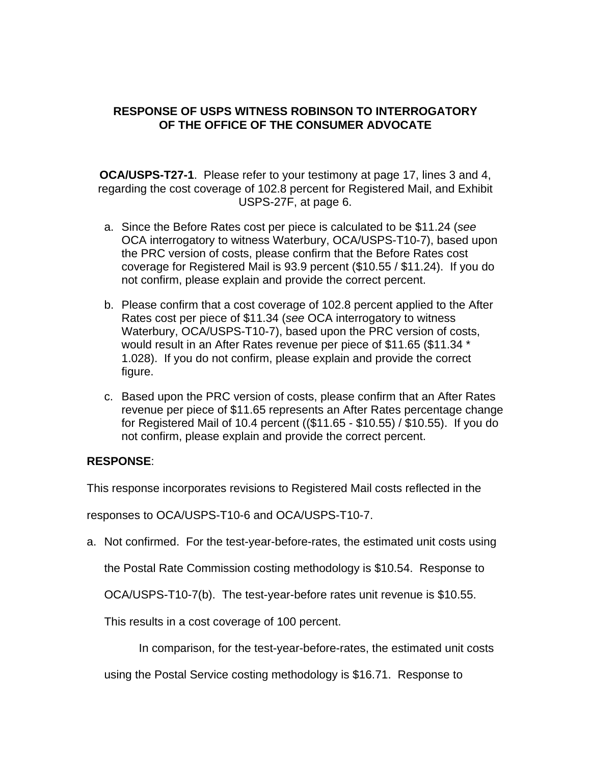## **RESPONSE OF USPS WITNESS ROBINSON TO INTERROGATORY OF THE OFFICE OF THE CONSUMER ADVOCATE**

**OCA/USPS-T27-1**. Please refer to your testimony at page 17, lines 3 and 4, regarding the cost coverage of 102.8 percent for Registered Mail, and Exhibit USPS-27F, at page 6.

- a. Since the Before Rates cost per piece is calculated to be \$11.24 (*see* OCA interrogatory to witness Waterbury, OCA/USPS-T10-7), based upon the PRC version of costs, please confirm that the Before Rates cost coverage for Registered Mail is 93.9 percent (\$10.55 / \$11.24). If you do not confirm, please explain and provide the correct percent.
- b. Please confirm that a cost coverage of 102.8 percent applied to the After Rates cost per piece of \$11.34 (*see* OCA interrogatory to witness Waterbury, OCA/USPS-T10-7), based upon the PRC version of costs, would result in an After Rates revenue per piece of \$11.65 (\$11.34 \* 1.028). If you do not confirm, please explain and provide the correct figure.
- c. Based upon the PRC version of costs, please confirm that an After Rates revenue per piece of \$11.65 represents an After Rates percentage change for Registered Mail of 10.4 percent ((\$11.65 - \$10.55) / \$10.55). If you do not confirm, please explain and provide the correct percent.

# **RESPONSE**:

This response incorporates revisions to Registered Mail costs reflected in the

responses to OCA/USPS-T10-6 and OCA/USPS-T10-7.

a. Not confirmed. For the test-year-before-rates, the estimated unit costs using

the Postal Rate Commission costing methodology is \$10.54. Response to

OCA/USPS-T10-7(b). The test-year-before rates unit revenue is \$10.55.

This results in a cost coverage of 100 percent.

In comparison, for the test-year-before-rates, the estimated unit costs

using the Postal Service costing methodology is \$16.71. Response to